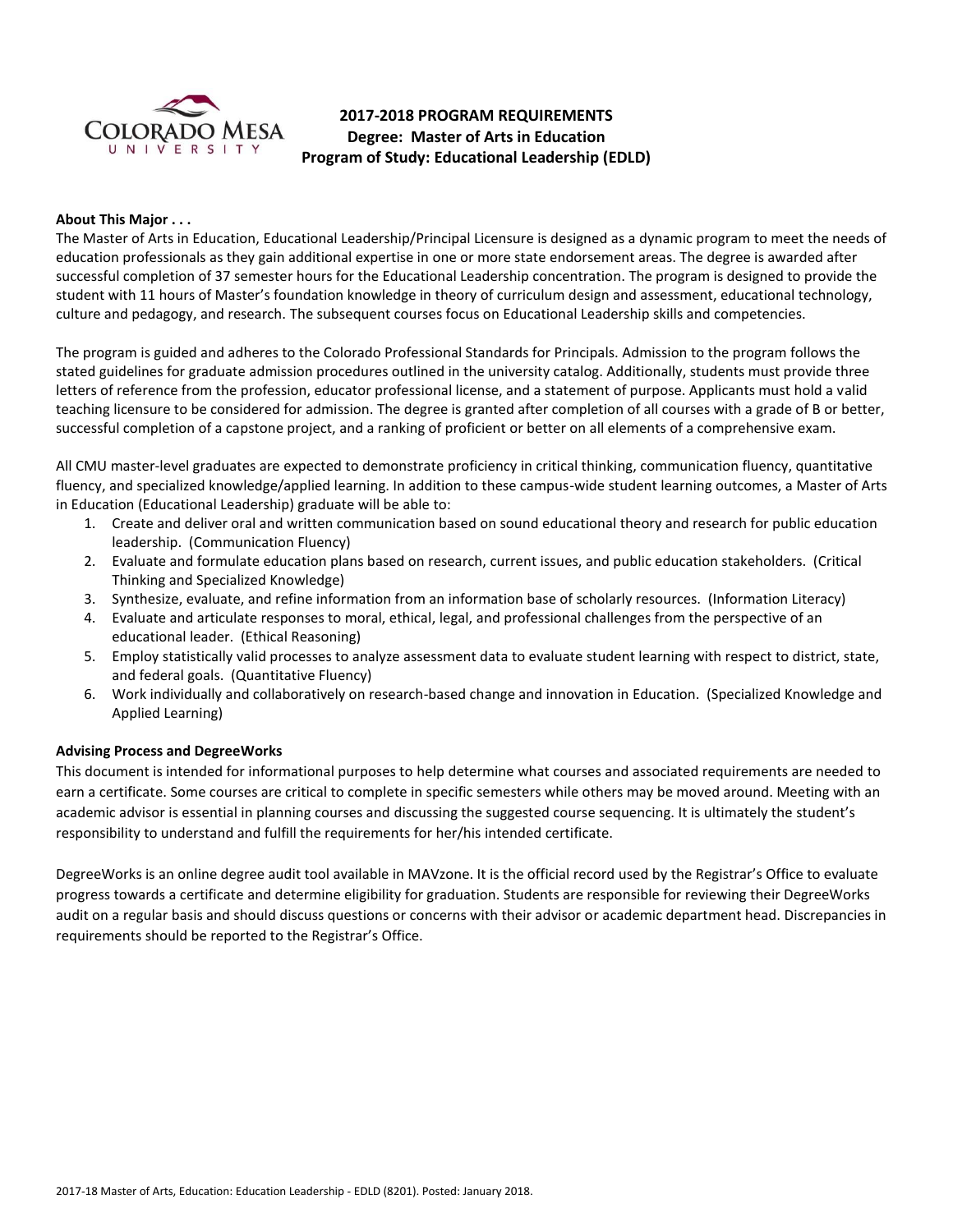

## **2017-2018 PROGRAM REQUIREMENTS Degree: Master of Arts in Education Program of Study: Educational Leadership (EDLD)**

### **About This Major . . .**

The Master of Arts in Education, Educational Leadership/Principal Licensure is designed as a dynamic program to meet the needs of education professionals as they gain additional expertise in one or more state endorsement areas. The degree is awarded after successful completion of 37 semester hours for the Educational Leadership concentration. The program is designed to provide the student with 11 hours of Master's foundation knowledge in theory of curriculum design and assessment, educational technology, culture and pedagogy, and research. The subsequent courses focus on Educational Leadership skills and competencies.

The program is guided and adheres to the Colorado Professional Standards for Principals. Admission to the program follows the stated guidelines for graduate admission procedures outlined in the university catalog. Additionally, students must provide three letters of reference from the profession, educator professional license, and a statement of purpose. Applicants must hold a valid teaching licensure to be considered for admission. The degree is granted after completion of all courses with a grade of B or better, successful completion of a capstone project, and a ranking of proficient or better on all elements of a comprehensive exam.

All CMU master-level graduates are expected to demonstrate proficiency in critical thinking, communication fluency, quantitative fluency, and specialized knowledge/applied learning. In addition to these campus-wide student learning outcomes, a Master of Arts in Education (Educational Leadership) graduate will be able to:

- 1. Create and deliver oral and written communication based on sound educational theory and research for public education leadership. (Communication Fluency)
- 2. Evaluate and formulate education plans based on research, current issues, and public education stakeholders. (Critical Thinking and Specialized Knowledge)
- 3. Synthesize, evaluate, and refine information from an information base of scholarly resources. (Information Literacy)
- 4. Evaluate and articulate responses to moral, ethical, legal, and professional challenges from the perspective of an educational leader. (Ethical Reasoning)
- 5. Employ statistically valid processes to analyze assessment data to evaluate student learning with respect to district, state, and federal goals. (Quantitative Fluency)
- 6. Work individually and collaboratively on research-based change and innovation in Education. (Specialized Knowledge and Applied Learning)

#### **Advising Process and DegreeWorks**

This document is intended for informational purposes to help determine what courses and associated requirements are needed to earn a certificate. Some courses are critical to complete in specific semesters while others may be moved around. Meeting with an academic advisor is essential in planning courses and discussing the suggested course sequencing. It is ultimately the student's responsibility to understand and fulfill the requirements for her/his intended certificate.

DegreeWorks is an online degree audit tool available in MAVzone. It is the official record used by the Registrar's Office to evaluate progress towards a certificate and determine eligibility for graduation. Students are responsible for reviewing their DegreeWorks audit on a regular basis and should discuss questions or concerns with their advisor or academic department head. Discrepancies in requirements should be reported to the Registrar's Office.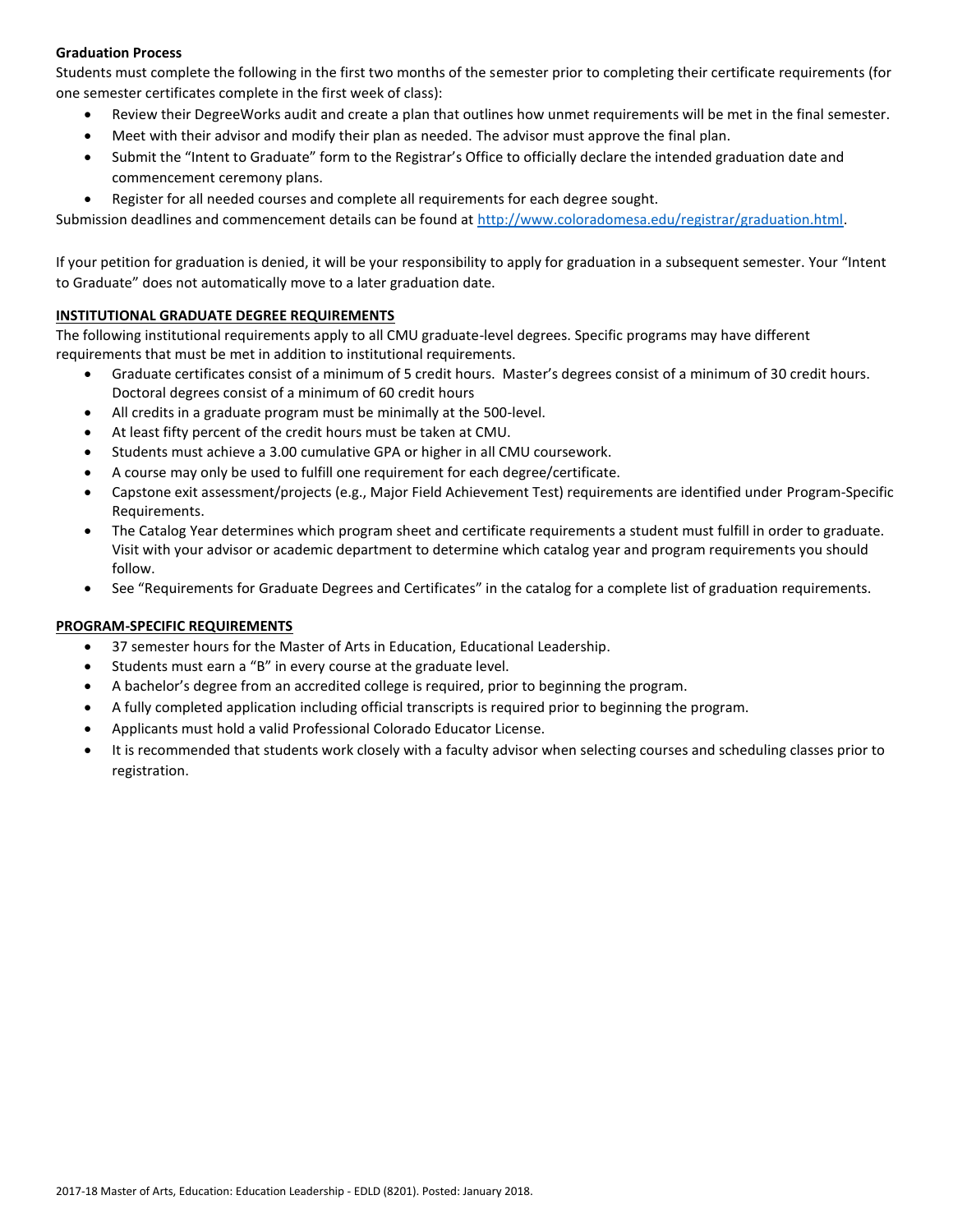## **Graduation Process**

Students must complete the following in the first two months of the semester prior to completing their certificate requirements (for one semester certificates complete in the first week of class):

- Review their DegreeWorks audit and create a plan that outlines how unmet requirements will be met in the final semester.
- Meet with their advisor and modify their plan as needed. The advisor must approve the final plan.
- Submit the "Intent to Graduate" form to the Registrar's Office to officially declare the intended graduation date and commencement ceremony plans.
- Register for all needed courses and complete all requirements for each degree sought.

Submission deadlines and commencement details can be found at [http://www.coloradomesa.edu/registrar/graduation.html.](http://www.coloradomesa.edu/registrar/graduation.html)

If your petition for graduation is denied, it will be your responsibility to apply for graduation in a subsequent semester. Your "Intent to Graduate" does not automatically move to a later graduation date.

## **INSTITUTIONAL GRADUATE DEGREE REQUIREMENTS**

The following institutional requirements apply to all CMU graduate-level degrees. Specific programs may have different requirements that must be met in addition to institutional requirements.

- Graduate certificates consist of a minimum of 5 credit hours. Master's degrees consist of a minimum of 30 credit hours. Doctoral degrees consist of a minimum of 60 credit hours
- All credits in a graduate program must be minimally at the 500-level.
- At least fifty percent of the credit hours must be taken at CMU.
- Students must achieve a 3.00 cumulative GPA or higher in all CMU coursework.
- A course may only be used to fulfill one requirement for each degree/certificate.
- Capstone exit assessment/projects (e.g., Major Field Achievement Test) requirements are identified under Program-Specific Requirements.
- The Catalog Year determines which program sheet and certificate requirements a student must fulfill in order to graduate. Visit with your advisor or academic department to determine which catalog year and program requirements you should follow.
- See "Requirements for Graduate Degrees and Certificates" in the catalog for a complete list of graduation requirements.

## **PROGRAM-SPECIFIC REQUIREMENTS**

- 37 semester hours for the Master of Arts in Education, Educational Leadership.
- Students must earn a "B" in every course at the graduate level.
- A bachelor's degree from an accredited college is required, prior to beginning the program.
- A fully completed application including official transcripts is required prior to beginning the program.
- Applicants must hold a valid Professional Colorado Educator License.
- It is recommended that students work closely with a faculty advisor when selecting courses and scheduling classes prior to registration.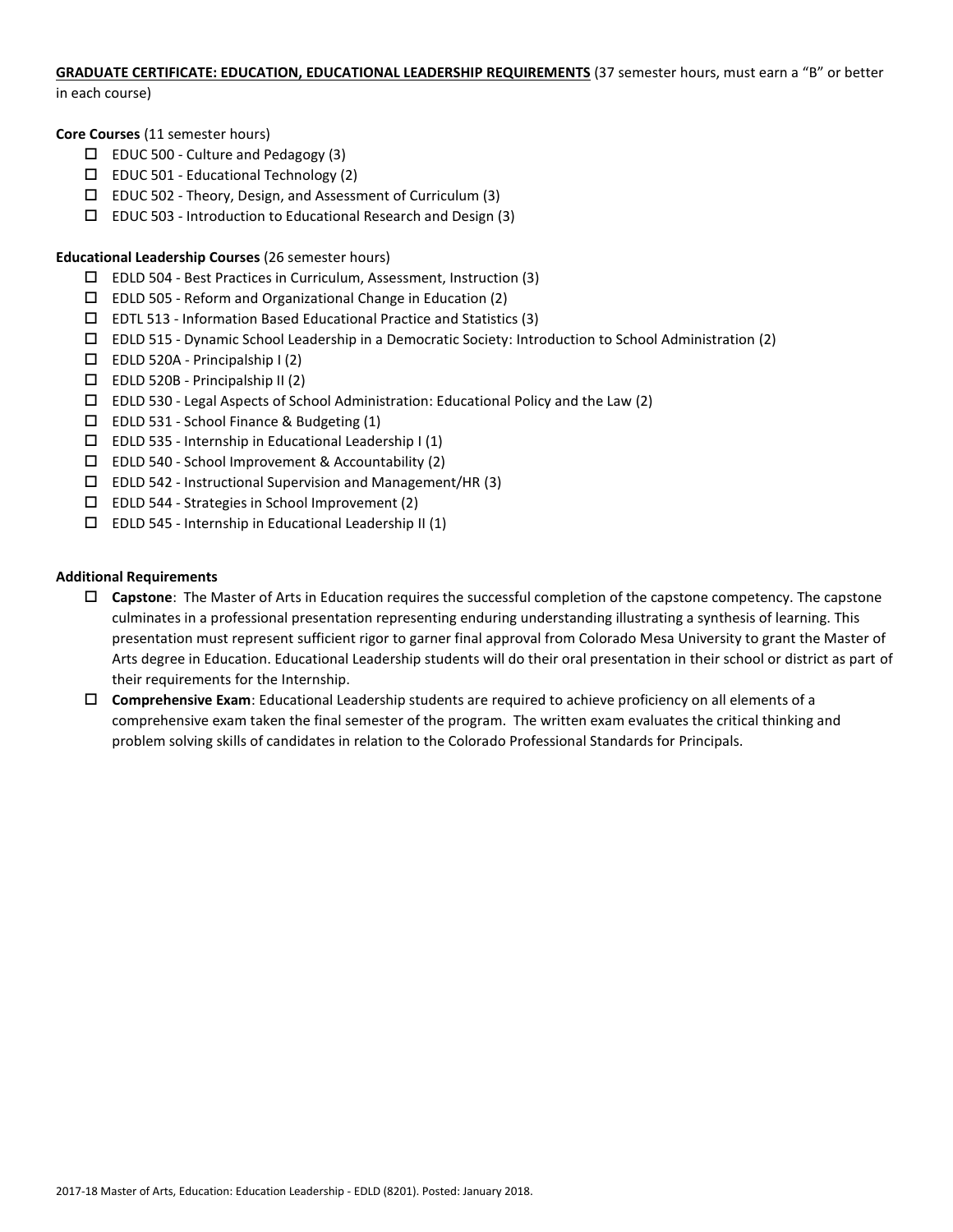# **GRADUATE CERTIFICATE: EDUCATION, EDUCATIONAL LEADERSHIP REQUIREMENTS** (37 semester hours, must earn a "B" or better

in each course)

**Core Courses** (11 semester hours)

- $\square$  EDUC 500 Culture and Pedagogy (3)
- $\Box$  EDUC 501 Educational Technology (2)
- EDUC 502 Theory, Design, and Assessment of Curriculum (3)
- $\Box$  EDUC 503 Introduction to Educational Research and Design (3)

## **Educational Leadership Courses** (26 semester hours)

- $\square$  EDLD 504 Best Practices in Curriculum, Assessment, Instruction (3)
- EDLD 505 Reform and Organizational Change in Education (2)
- $\square$  EDTL 513 Information Based Educational Practice and Statistics (3)
- EDLD 515 Dynamic School Leadership in a Democratic Society: Introduction to School Administration (2)
- $\square$  EDLD 520A Principalship I (2)
- $\Box$  EDLD 520B Principalship II (2)
- $\Box$  EDLD 530 Legal Aspects of School Administration: Educational Policy and the Law (2)
- EDLD 531 School Finance & Budgeting (1)
- $\square$  EDLD 535 Internship in Educational Leadership I (1)
- EDLD 540 School Improvement & Accountability (2)
- $\Box$  EDLD 542 Instructional Supervision and Management/HR (3)
- EDLD 544 Strategies in School Improvement (2)
- $\square$  EDLD 545 Internship in Educational Leadership II (1)

## **Additional Requirements**

- **Capstone**: The Master of Arts in Education requires the successful completion of the capstone competency. The capstone culminates in a professional presentation representing enduring understanding illustrating a synthesis of learning. This presentation must represent sufficient rigor to garner final approval from Colorado Mesa University to grant the Master of Arts degree in Education. Educational Leadership students will do their oral presentation in their school or district as part of their requirements for the Internship.
- **Comprehensive Exam**: Educational Leadership students are required to achieve proficiency on all elements of a comprehensive exam taken the final semester of the program. The written exam evaluates the critical thinking and problem solving skills of candidates in relation to the Colorado Professional Standards for Principals.